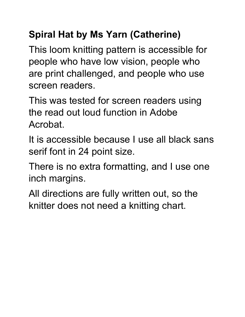### **Spiral Hat by Ms Yarn (Catherine)**

This loom knitting pattern is accessible for people who have low vision, people who are print challenged, and people who use screen readers.

This was tested for screen readers using the read out loud function in Adobe Acrobat.

It is accessible because I use all black sans serif font in 24 point size.

There is no extra formatting, and I use one inch margins.

All directions are fully written out, so the knitter does not need a knitting chart.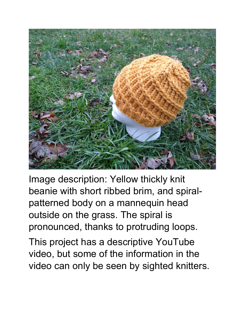

Image description: Yellow thickly knit beanie with short ribbed brim, and spiralpatterned body on a mannequin head outside on the grass. The spiral is pronounced, thanks to protruding loops.

This project has a descriptive YouTube video, but some of the information in the video can only be seen by sighted knitters.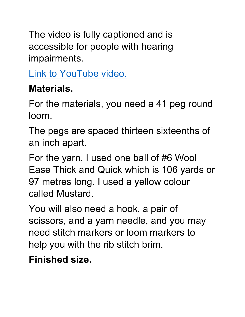The video is fully captioned and is accessible for people with hearing impairments.

[Link to YouTube video.](https://youtu.be/FvJpiuzlWZY)

## **Materials.**

For the materials, you need a 41 peg round loom.

The pegs are spaced thirteen sixteenths of an inch apart.

For the yarn, I used one ball of #6 Wool Ease Thick and Quick which is 106 yards or 97 metres long. I used a yellow colour called Mustard.

You will also need a hook, a pair of scissors, and a yarn needle, and you may need stitch markers or loom markers to help you with the rib stitch brim.

#### **Finished size.**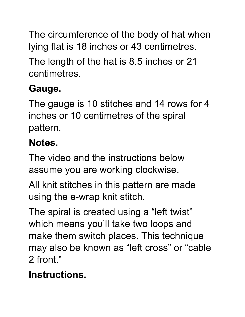The circumference of the body of hat when lying flat is 18 inches or 43 centimetres.

The length of the hat is 8.5 inches or 21 centimetres.

# **Gauge.**

The gauge is 10 stitches and 14 rows for 4 inches or 10 centimetres of the spiral pattern.

## **Notes.**

The video and the instructions below assume you are working clockwise.

All knit stitches in this pattern are made using the e-wrap knit stitch.

The spiral is created using a "left twist" which means you'll take two loops and make them switch places. This technique may also be known as "left cross" or "cable 2 front."

## **Instructions.**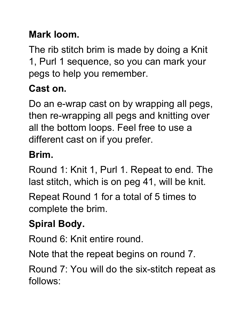#### **Mark loom.**

The rib stitch brim is made by doing a Knit 1, Purl 1 sequence, so you can mark your pegs to help you remember.

## **Cast on.**

Do an e-wrap cast on by wrapping all pegs, then re-wrapping all pegs and knitting over all the bottom loops. Feel free to use a different cast on if you prefer.

#### **Brim.**

Round 1: Knit 1, Purl 1. Repeat to end. The last stitch, which is on peg 41, will be knit.

Repeat Round 1 for a total of 5 times to complete the brim.

## **Spiral Body.**

Round 6: Knit entire round.

Note that the repeat begins on round 7.

Round 7: You will do the six-stitch repeat as follows: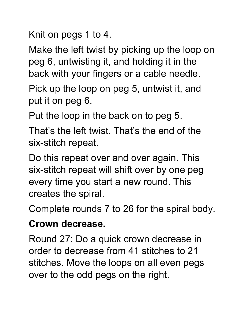Knit on pegs 1 to 4.

Make the left twist by picking up the loop on peg 6, untwisting it, and holding it in the back with your fingers or a cable needle.

Pick up the loop on peg 5, untwist it, and put it on peg 6.

Put the loop in the back on to peg 5.

That's the left twist. That's the end of the six-stitch repeat.

Do this repeat over and over again. This six-stitch repeat will shift over by one peg every time you start a new round. This creates the spiral.

Complete rounds 7 to 26 for the spiral body.

#### **Crown decrease.**

Round 27: Do a quick crown decrease in order to decrease from 41 stitches to 21 stitches. Move the loops on all even pegs over to the odd pegs on the right.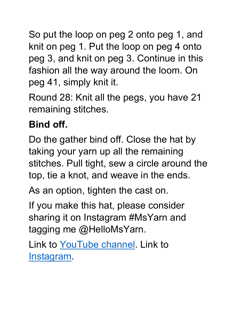So put the loop on peg 2 onto peg 1, and knit on peg 1. Put the loop on peg 4 onto peg 3, and knit on peg 3. Continue in this fashion all the way around the loom. On peg 41, simply knit it.

Round 28: Knit all the pegs, you have 21 remaining stitches.

## **Bind off.**

Do the gather bind off. Close the hat by taking your yarn up all the remaining stitches. Pull tight, sew a circle around the top, tie a knot, and weave in the ends.

As an option, tighten the cast on.

If you make this hat, please consider sharing it on Instagram #MsYarn and tagging me @HelloMsYarn.

Link to [YouTube channel.](https://www.youtube.com/channel/UC2XDM2cKS1IOeYZkW7Wb0FA) Link to [Instagram.](https://www.instagram.com/hellomsyarn/)